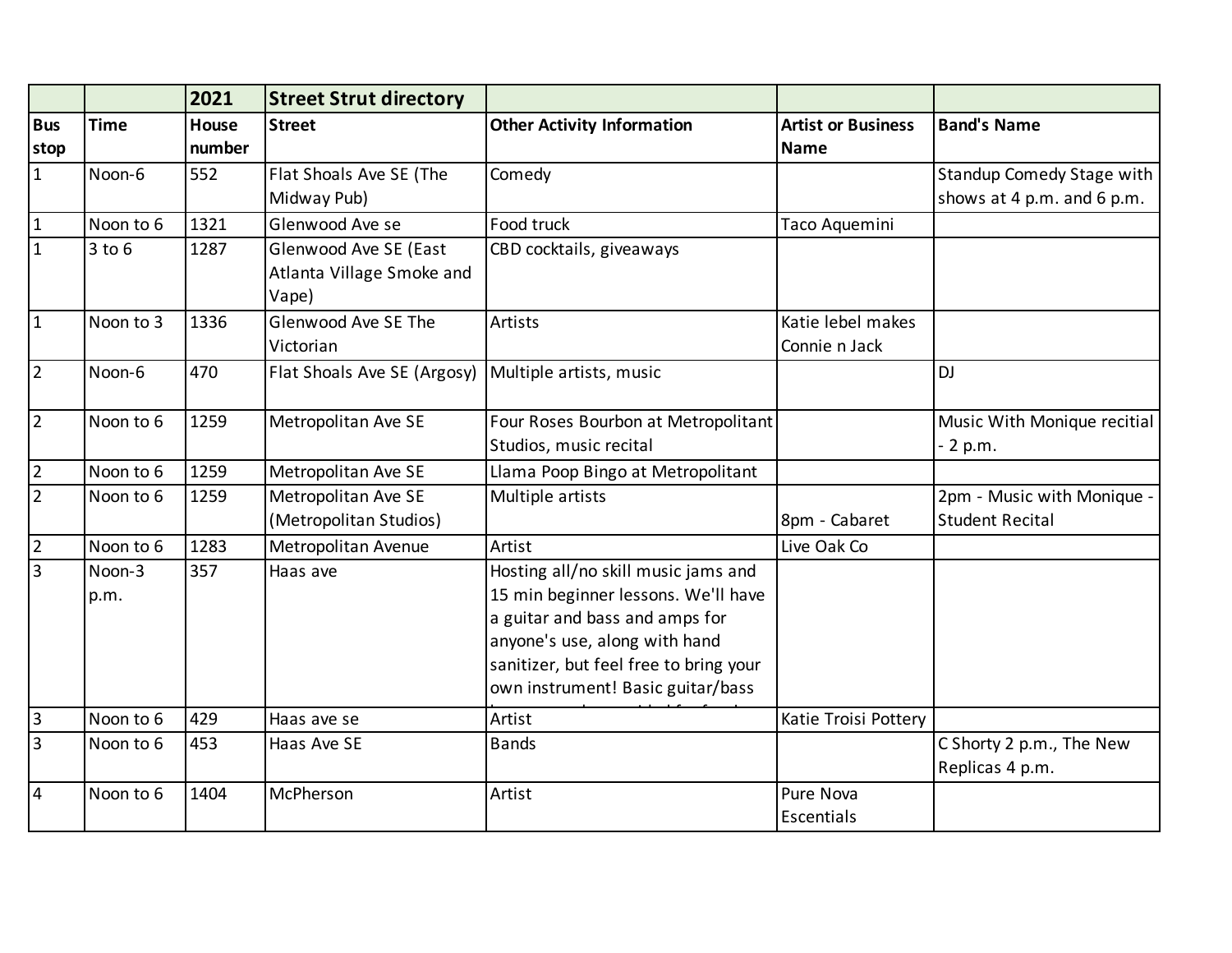|                    |                | 2021                   | <b>Street Strut directory</b>                               |                                                                                                                                                                                                                              |                                          |                                                      |
|--------------------|----------------|------------------------|-------------------------------------------------------------|------------------------------------------------------------------------------------------------------------------------------------------------------------------------------------------------------------------------------|------------------------------------------|------------------------------------------------------|
| <b>Bus</b><br>stop | <b>Time</b>    | <b>House</b><br>number | <b>Street</b>                                               | <b>Other Activity Information</b>                                                                                                                                                                                            | <b>Artist or Business</b><br><b>Name</b> | <b>Band's Name</b>                                   |
| $\mathbf{1}$       | Noon-6         | 552                    | Flat Shoals Ave SE (The                                     | Comedy                                                                                                                                                                                                                       |                                          | <b>Standup Comedy Stage with</b>                     |
|                    |                |                        | Midway Pub)                                                 |                                                                                                                                                                                                                              |                                          | shows at 4 p.m. and 6 p.m.                           |
| $\vert$ 1          | Noon to 6      | 1321                   | Glenwood Ave se                                             | Food truck                                                                                                                                                                                                                   | Taco Aquemini                            |                                                      |
| $\overline{1}$     | $3$ to $6$     | 1287                   | Glenwood Ave SE (East<br>Atlanta Village Smoke and<br>Vape) | CBD cocktails, giveaways                                                                                                                                                                                                     |                                          |                                                      |
| $\overline{1}$     | Noon to 3      | 1336                   | Glenwood Ave SE The<br>Victorian                            | Artists                                                                                                                                                                                                                      | Katie lebel makes<br>Connie n Jack       |                                                      |
| $\overline{2}$     | Noon-6         | 470                    | Flat Shoals Ave SE (Argosy)                                 | Multiple artists, music                                                                                                                                                                                                      |                                          | <b>DJ</b>                                            |
| $\overline{2}$     | Noon to 6      | 1259                   | Metropolitan Ave SE                                         | Four Roses Bourbon at Metropolitant<br>Studios, music recital                                                                                                                                                                |                                          | Music With Monique recitial<br>2 p.m.                |
| $\overline{2}$     | Noon to 6      | 1259                   | Metropolitan Ave SE                                         | Llama Poop Bingo at Metropolitant                                                                                                                                                                                            |                                          |                                                      |
| $\overline{2}$     | Noon to 6      | 1259                   | Metropolitan Ave SE<br>(Metropolitan Studios)               | Multiple artists                                                                                                                                                                                                             | 8pm - Cabaret                            | 2pm - Music with Monique -<br><b>Student Recital</b> |
| $\overline{2}$     | Noon to 6      | 1283                   | Metropolitan Avenue                                         | Artist                                                                                                                                                                                                                       | Live Oak Co                              |                                                      |
| $\overline{3}$     | Noon-3<br>p.m. | 357                    | Haas ave                                                    | Hosting all/no skill music jams and<br>15 min beginner lessons. We'll have<br>a guitar and bass and amps for<br>anyone's use, along with hand<br>sanitizer, but feel free to bring your<br>own instrument! Basic guitar/bass |                                          |                                                      |
| $\overline{3}$     | Noon to 6      | 429                    | Haas ave se                                                 | Artist                                                                                                                                                                                                                       | Katie Troisi Pottery                     |                                                      |
| $\overline{3}$     | Noon to 6      | 453                    | Haas Ave SE                                                 | <b>Bands</b>                                                                                                                                                                                                                 |                                          | C Shorty 2 p.m., The New<br>Replicas 4 p.m.          |
| $\overline{4}$     | Noon to 6      | 1404                   | McPherson                                                   | Artist                                                                                                                                                                                                                       | Pure Nova<br>Escentials                  |                                                      |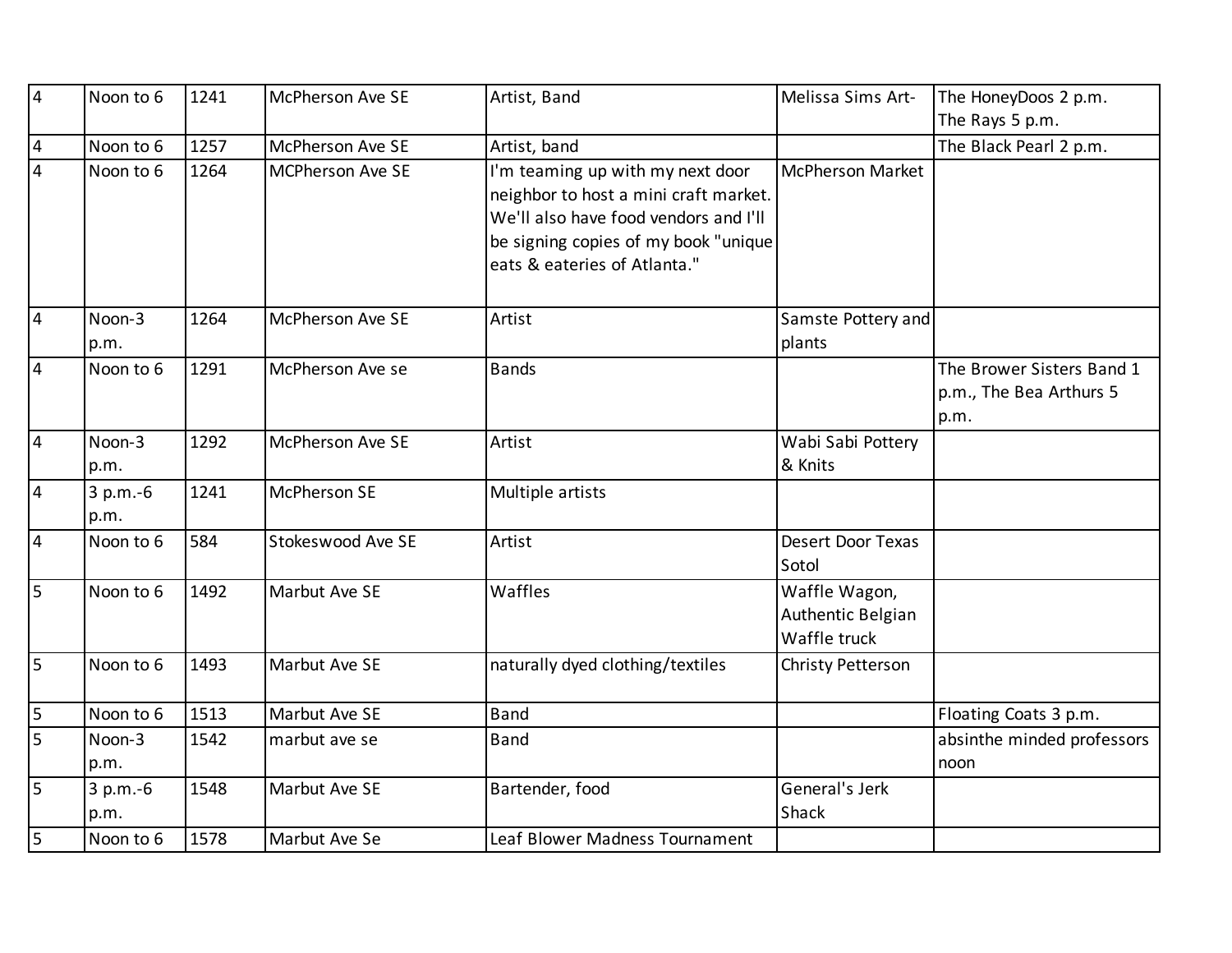| $\overline{4}$ | Noon to 6          | 1241 | <b>McPherson Ave SE</b> | Artist, Band                                                                                                                                                                               | Melissa Sims Art-                                  | The HoneyDoos 2 p.m.                                         |
|----------------|--------------------|------|-------------------------|--------------------------------------------------------------------------------------------------------------------------------------------------------------------------------------------|----------------------------------------------------|--------------------------------------------------------------|
|                |                    |      |                         |                                                                                                                                                                                            |                                                    | The Rays 5 p.m.                                              |
| $\vert 4$      | Noon to 6          | 1257 | <b>McPherson Ave SE</b> | Artist, band                                                                                                                                                                               |                                                    | The Black Pearl 2 p.m.                                       |
| $\overline{4}$ | Noon to 6          | 1264 | <b>MCPherson Ave SE</b> | I'm teaming up with my next door<br>neighbor to host a mini craft market.<br>We'll also have food vendors and I'll<br>be signing copies of my book "unique<br>eats & eateries of Atlanta." | <b>McPherson Market</b>                            |                                                              |
| $\overline{4}$ | Noon-3<br>p.m.     | 1264 | <b>McPherson Ave SE</b> | Artist                                                                                                                                                                                     | Samste Pottery and<br>plants                       |                                                              |
| 4              | Noon to 6          | 1291 | McPherson Ave se        | <b>Bands</b>                                                                                                                                                                               |                                                    | The Brower Sisters Band 1<br>p.m., The Bea Arthurs 5<br>p.m. |
| $\overline{4}$ | Noon-3<br>p.m.     | 1292 | McPherson Ave SE        | Artist                                                                                                                                                                                     | Wabi Sabi Pottery<br>& Knits                       |                                                              |
| $\overline{4}$ | $3 p.m.-6$<br>p.m. | 1241 | <b>McPherson SE</b>     | Multiple artists                                                                                                                                                                           |                                                    |                                                              |
| $\overline{4}$ | Noon to 6          | 584  | Stokeswood Ave SE       | Artist                                                                                                                                                                                     | <b>Desert Door Texas</b><br>Sotol                  |                                                              |
| $\overline{5}$ | Noon to 6          | 1492 | Marbut Ave SE           | Waffles                                                                                                                                                                                    | Waffle Wagon,<br>Authentic Belgian<br>Waffle truck |                                                              |
| $\overline{5}$ | Noon to 6          | 1493 | Marbut Ave SE           | naturally dyed clothing/textiles                                                                                                                                                           | Christy Petterson                                  |                                                              |
| $\overline{5}$ | Noon to 6          | 1513 | Marbut Ave SE           | <b>Band</b>                                                                                                                                                                                |                                                    | Floating Coats 3 p.m.                                        |
| 5              | Noon-3<br>p.m.     | 1542 | marbut ave se           | <b>Band</b>                                                                                                                                                                                |                                                    | absinthe minded professors<br>noon                           |
| 5              | 3 p.m.-6<br>p.m.   | 1548 | Marbut Ave SE           | Bartender, food                                                                                                                                                                            | General's Jerk<br>Shack                            |                                                              |
| 5              | Noon to 6          | 1578 | Marbut Ave Se           | Leaf Blower Madness Tournament                                                                                                                                                             |                                                    |                                                              |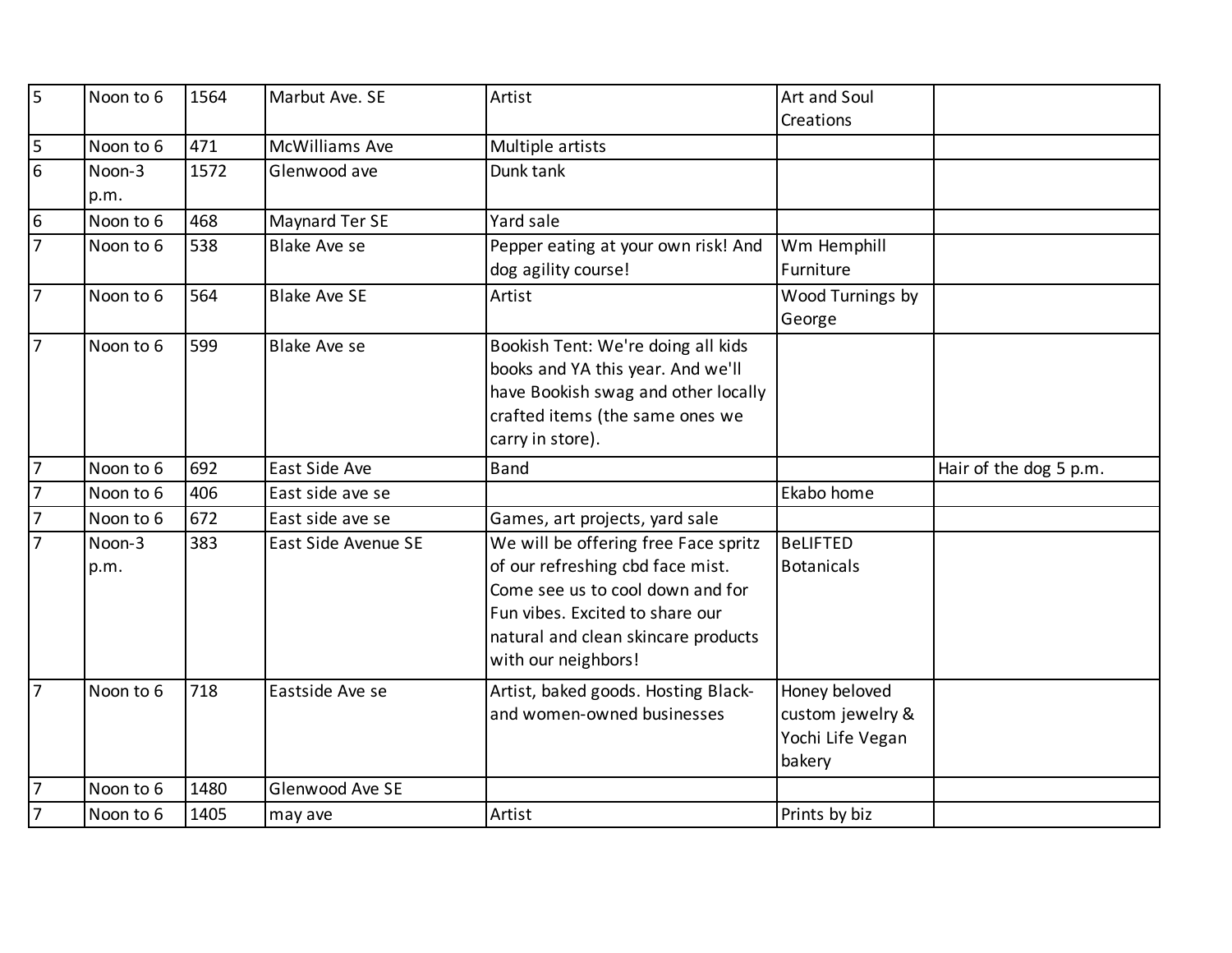| 5                       | Noon to 6 | 1564 | Marbut Ave. SE        | Artist                               | Art and Soul      |                        |
|-------------------------|-----------|------|-----------------------|--------------------------------------|-------------------|------------------------|
|                         |           |      |                       |                                      | Creations         |                        |
| $\overline{\mathsf{5}}$ | Noon to 6 | 471  | <b>McWilliams Ave</b> | Multiple artists                     |                   |                        |
| $6\overline{6}$         | Noon-3    | 1572 | Glenwood ave          | Dunk tank                            |                   |                        |
|                         | p.m.      |      |                       |                                      |                   |                        |
| 6                       | Noon to 6 | 468  | Maynard Ter SE        | Yard sale                            |                   |                        |
| $\overline{7}$          | Noon to 6 | 538  | <b>Blake Ave se</b>   | Pepper eating at your own risk! And  | Wm Hemphill       |                        |
|                         |           |      |                       | dog agility course!                  | Furniture         |                        |
| $\overline{7}$          | Noon to 6 | 564  | <b>Blake Ave SE</b>   | Artist                               | Wood Turnings by  |                        |
|                         |           |      |                       |                                      | George            |                        |
| $\overline{7}$          | Noon to 6 | 599  | <b>Blake Ave se</b>   | Bookish Tent: We're doing all kids   |                   |                        |
|                         |           |      |                       | books and YA this year. And we'll    |                   |                        |
|                         |           |      |                       | have Bookish swag and other locally  |                   |                        |
|                         |           |      |                       | crafted items (the same ones we      |                   |                        |
|                         |           |      |                       | carry in store).                     |                   |                        |
| 17                      | Noon to 6 | 692  | East Side Ave         | <b>Band</b>                          |                   | Hair of the dog 5 p.m. |
| $\overline{7}$          | Noon to 6 | 406  | East side ave se      |                                      | Ekabo home        |                        |
| $\overline{7}$          | Noon to 6 | 672  | East side ave se      | Games, art projects, yard sale       |                   |                        |
|                         | Noon-3    | 383  | East Side Avenue SE   | We will be offering free Face spritz | <b>BeLIFTED</b>   |                        |
|                         |           |      |                       |                                      |                   |                        |
|                         | p.m.      |      |                       | of our refreshing cbd face mist.     | <b>Botanicals</b> |                        |
|                         |           |      |                       | Come see us to cool down and for     |                   |                        |
|                         |           |      |                       | Fun vibes. Excited to share our      |                   |                        |
|                         |           |      |                       | natural and clean skincare products  |                   |                        |
|                         |           |      |                       | with our neighbors!                  |                   |                        |
| $\overline{7}$          | Noon to 6 | 718  | Eastside Ave se       | Artist, baked goods. Hosting Black-  | Honey beloved     |                        |
|                         |           |      |                       | and women-owned businesses           | custom jewelry &  |                        |
|                         |           |      |                       |                                      | Yochi Life Vegan  |                        |
|                         |           |      |                       |                                      | bakery            |                        |
| 17                      | Noon to 6 | 1480 | Glenwood Ave SE       |                                      |                   |                        |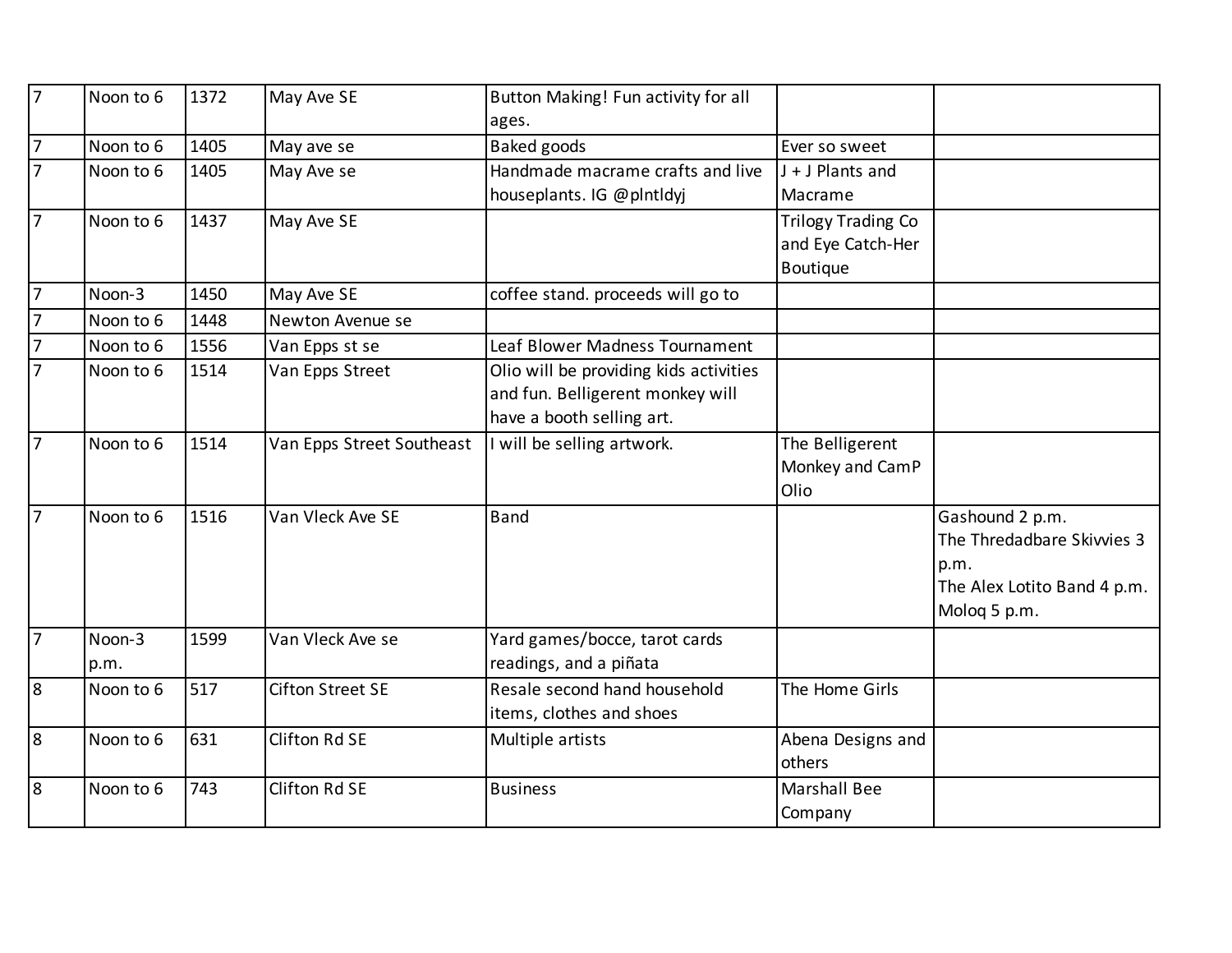| 7              | Noon to 6 | 1372 | May Ave SE                | Button Making! Fun activity for all<br>ages. |                           |                             |
|----------------|-----------|------|---------------------------|----------------------------------------------|---------------------------|-----------------------------|
| $\overline{7}$ | Noon to 6 | 1405 | May ave se                | Baked goods                                  | Ever so sweet             |                             |
| $\overline{7}$ | Noon to 6 | 1405 | May Ave se                | Handmade macrame crafts and live             | J + J Plants and          |                             |
|                |           |      |                           | houseplants. IG @plntldyj                    | Macrame                   |                             |
| 7              | Noon to 6 | 1437 | May Ave SE                |                                              | <b>Trilogy Trading Co</b> |                             |
|                |           |      |                           |                                              | and Eye Catch-Her         |                             |
|                |           |      |                           |                                              | Boutique                  |                             |
| $\overline{7}$ | Noon-3    | 1450 | May Ave SE                | coffee stand. proceeds will go to            |                           |                             |
| $\overline{7}$ | Noon to 6 | 1448 | Newton Avenue se          |                                              |                           |                             |
| $\overline{7}$ | Noon to 6 | 1556 | Van Epps st se            | Leaf Blower Madness Tournament               |                           |                             |
| $\overline{7}$ | Noon to 6 | 1514 | Van Epps Street           | Olio will be providing kids activities       |                           |                             |
|                |           |      |                           | and fun. Belligerent monkey will             |                           |                             |
|                |           |      |                           | have a booth selling art.                    |                           |                             |
| $\overline{7}$ | Noon to 6 | 1514 | Van Epps Street Southeast | I will be selling artwork.                   | The Belligerent           |                             |
|                |           |      |                           |                                              | Monkey and CamP           |                             |
|                |           |      |                           |                                              | Olio                      |                             |
| 17             | Noon to 6 | 1516 | Van Vleck Ave SE          | Band                                         |                           | Gashound 2 p.m.             |
|                |           |      |                           |                                              |                           | The Thredadbare Skivvies 3  |
|                |           |      |                           |                                              |                           | p.m.                        |
|                |           |      |                           |                                              |                           | The Alex Lotito Band 4 p.m. |
|                |           |      |                           |                                              |                           | Molog 5 p.m.                |
| 17             | Noon-3    | 1599 | Van Vleck Ave se          | Yard games/bocce, tarot cards                |                           |                             |
|                | p.m.      |      |                           | readings, and a piñata                       |                           |                             |
| 8              | Noon to 6 | 517  | <b>Cifton Street SE</b>   | Resale second hand household                 | The Home Girls            |                             |
|                |           |      |                           | items, clothes and shoes                     |                           |                             |
| 8              | Noon to 6 | 631  | Clifton Rd SE             | Multiple artists                             | Abena Designs and         |                             |
|                |           |      |                           |                                              | others                    |                             |
| 8              | Noon to 6 | 743  | Clifton Rd SE             | <b>Business</b>                              | <b>Marshall Bee</b>       |                             |
|                |           |      |                           |                                              | Company                   |                             |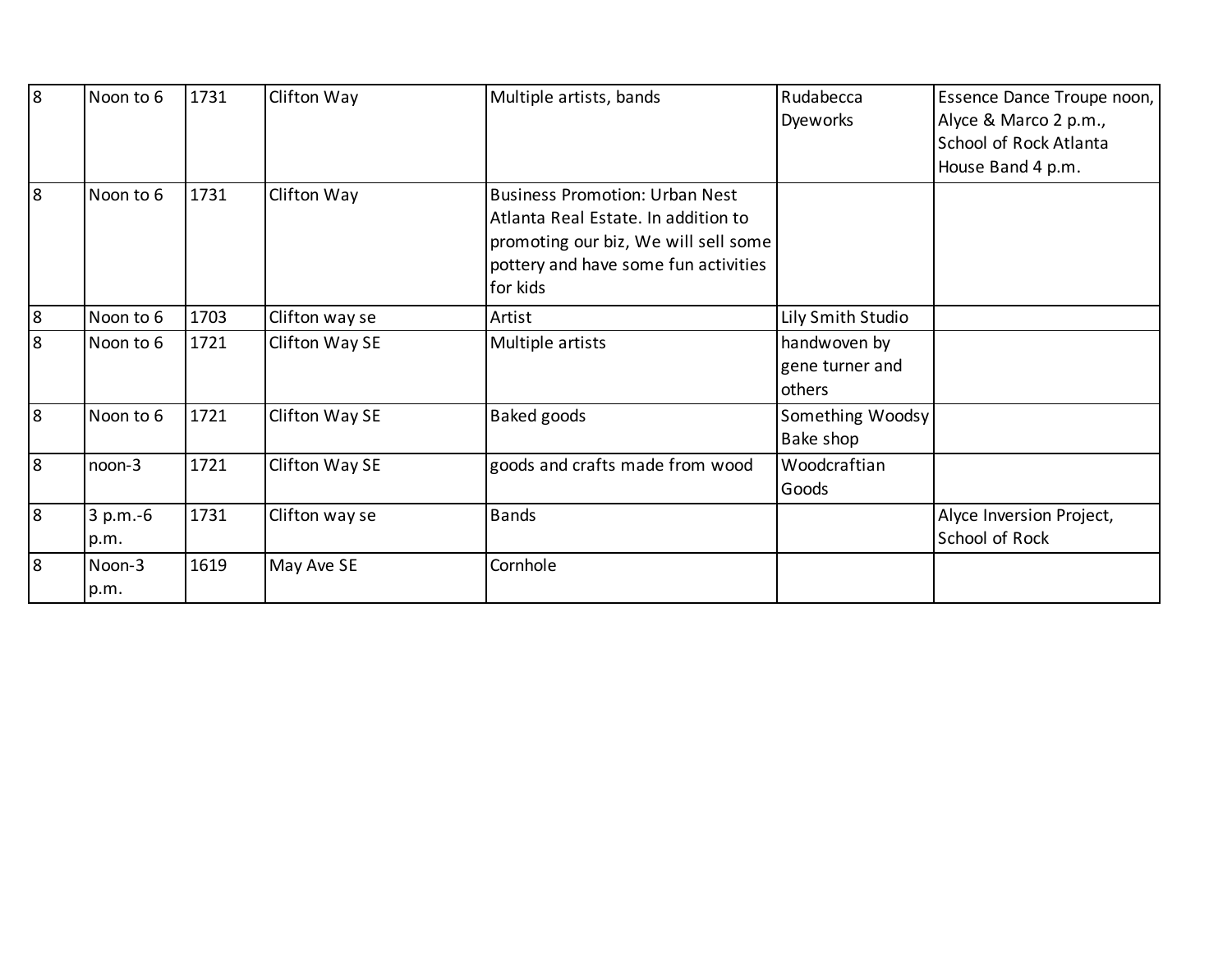| 8        | Noon to 6  | 1731 | Clifton Way    | Multiple artists, bands               | Rudabecca         | Essence Dance Troupe noon, |
|----------|------------|------|----------------|---------------------------------------|-------------------|----------------------------|
|          |            |      |                |                                       | Dyeworks          | Alyce & Marco 2 p.m.,      |
|          |            |      |                |                                       |                   | School of Rock Atlanta     |
|          |            |      |                |                                       |                   | House Band 4 p.m.          |
| l8       | Noon to 6  | 1731 | Clifton Way    | <b>Business Promotion: Urban Nest</b> |                   |                            |
|          |            |      |                | Atlanta Real Estate. In addition to   |                   |                            |
|          |            |      |                | promoting our biz, We will sell some  |                   |                            |
|          |            |      |                | pottery and have some fun activities  |                   |                            |
|          |            |      |                | for kids                              |                   |                            |
| 8        | Noon to 6  | 1703 | Clifton way se | Artist                                | Lily Smith Studio |                            |
| 8        | Noon to 6  | 1721 | Clifton Way SE | Multiple artists                      | handwoven by      |                            |
|          |            |      |                |                                       | gene turner and   |                            |
|          |            |      |                |                                       | others            |                            |
| 8        | Noon to 6  | 1721 | Clifton Way SE | <b>Baked goods</b>                    | Something Woodsy  |                            |
|          |            |      |                |                                       | Bake shop         |                            |
| <u>8</u> | noon-3     | 1721 | Clifton Way SE | goods and crafts made from wood       | Woodcraftian      |                            |
|          |            |      |                |                                       | Goods             |                            |
| 8        | $3 p.m.-6$ | 1731 | Clifton way se | <b>Bands</b>                          |                   | Alyce Inversion Project,   |
|          | p.m.       |      |                |                                       |                   | School of Rock             |
| 8        | Noon-3     | 1619 | May Ave SE     | Cornhole                              |                   |                            |
|          | p.m.       |      |                |                                       |                   |                            |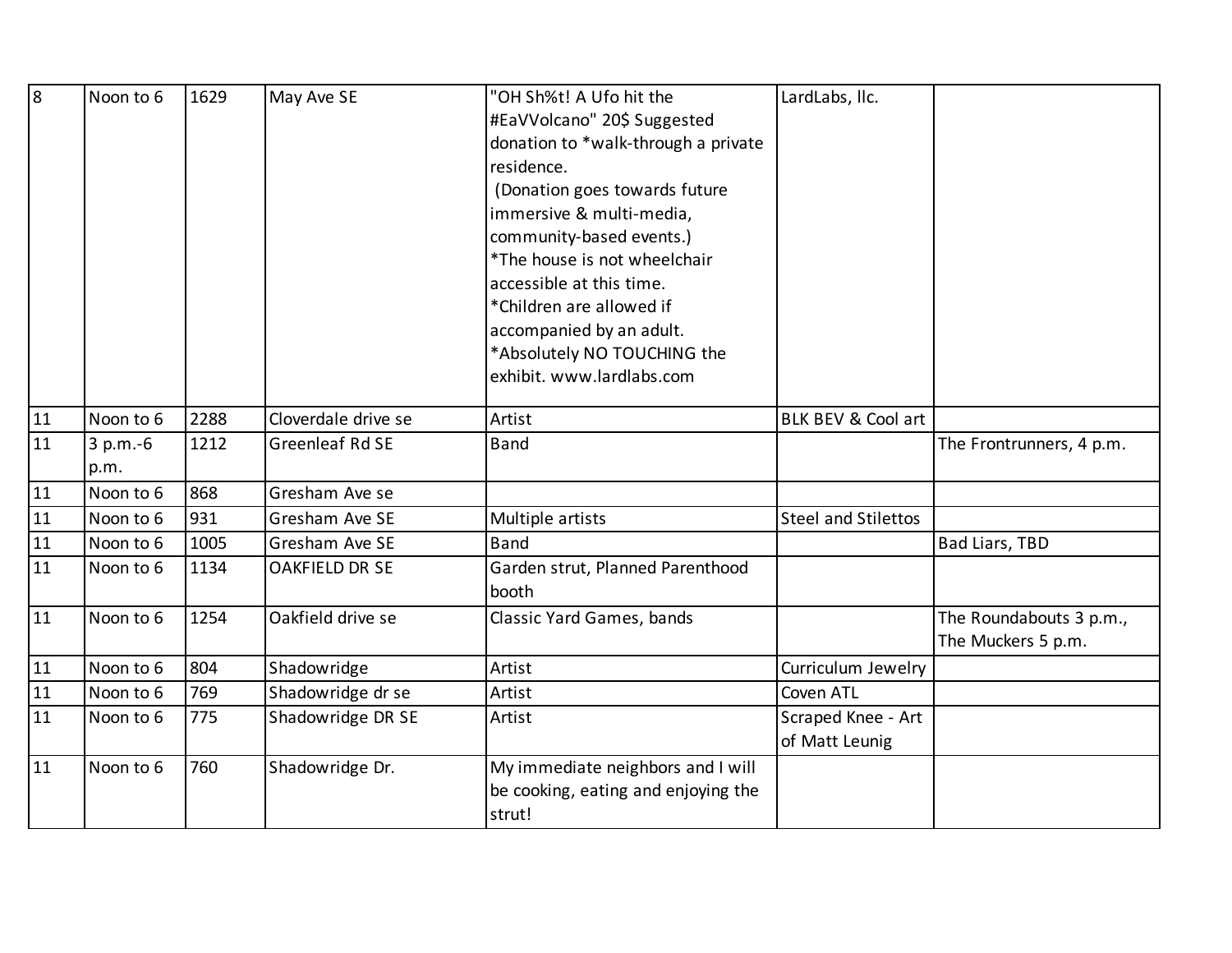| 8  | Noon to 6  | 1629 | May Ave SE             | "OH Sh%t! A Ufo hit the                   | LardLabs, Ilc.             |                          |
|----|------------|------|------------------------|-------------------------------------------|----------------------------|--------------------------|
|    |            |      |                        | #EaVVolcano" 20\$ Suggested               |                            |                          |
|    |            |      |                        | donation to *walk-through a private       |                            |                          |
|    |            |      |                        | residence.                                |                            |                          |
|    |            |      |                        | (Donation goes towards future             |                            |                          |
|    |            |      |                        | immersive & multi-media,                  |                            |                          |
|    |            |      |                        | community-based events.)                  |                            |                          |
|    |            |      |                        | *The house is not wheelchair              |                            |                          |
|    |            |      |                        | accessible at this time.                  |                            |                          |
|    |            |      |                        | *Children are allowed if                  |                            |                          |
|    |            |      |                        | accompanied by an adult.                  |                            |                          |
|    |            |      |                        | *Absolutely NO TOUCHING the               |                            |                          |
|    |            |      |                        | exhibit. www.lardlabs.com                 |                            |                          |
| 11 | Noon to 6  | 2288 | Cloverdale drive se    | Artist                                    | BLK BEV & Cool art         |                          |
| 11 | $3 p.m.-6$ | 1212 | <b>Greenleaf Rd SE</b> | <b>Band</b>                               |                            | The Frontrunners, 4 p.m. |
|    | p.m.       |      |                        |                                           |                            |                          |
| 11 | Noon to 6  | 868  | Gresham Ave se         |                                           |                            |                          |
| 11 | Noon to 6  | 931  | Gresham Ave SE         | Multiple artists                          | <b>Steel and Stilettos</b> |                          |
| 11 | Noon to 6  | 1005 | Gresham Ave SE         | <b>Band</b>                               |                            | <b>Bad Liars, TBD</b>    |
| 11 | Noon to 6  | 1134 | <b>OAKFIELD DR SE</b>  | Garden strut, Planned Parenthood<br>booth |                            |                          |
| 11 | Noon to 6  | 1254 | Oakfield drive se      | <b>Classic Yard Games, bands</b>          |                            | The Roundabouts 3 p.m.,  |
|    |            |      |                        |                                           |                            | The Muckers 5 p.m.       |
| 11 | Noon to 6  | 804  | Shadowridge            | Artist                                    | Curriculum Jewelry         |                          |
| 11 | Noon to 6  | 769  | Shadowridge dr se      | Artist                                    | Coven ATL                  |                          |
| 11 | Noon to 6  | 775  | Shadowridge DR SE      | Artist                                    | Scraped Knee - Art         |                          |
|    |            |      |                        |                                           | of Matt Leunig             |                          |
| 11 | Noon to 6  | 760  | Shadowridge Dr.        | My immediate neighbors and I will         |                            |                          |
|    |            |      |                        | be cooking, eating and enjoying the       |                            |                          |
|    |            |      |                        | strut!                                    |                            |                          |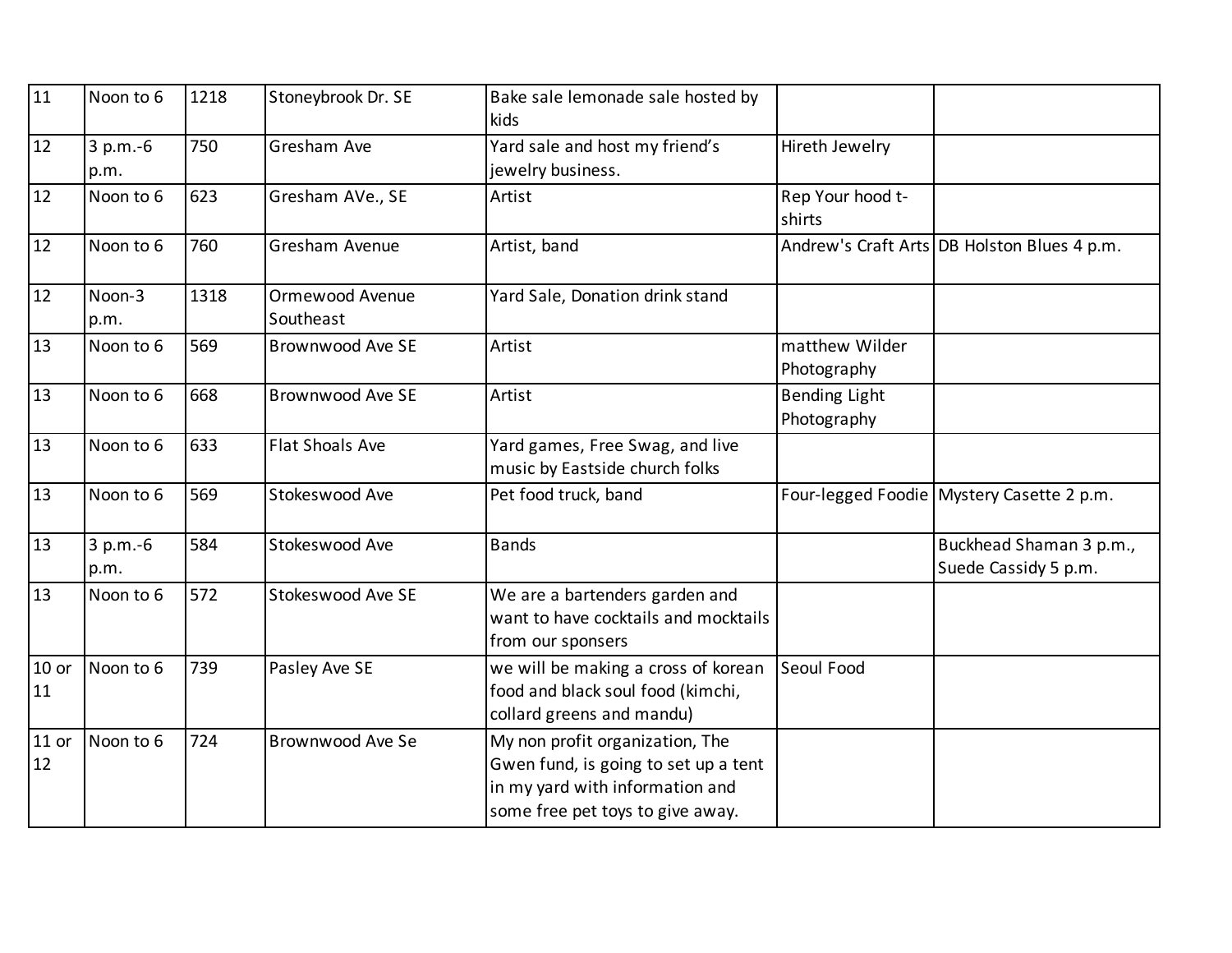| 11            | Noon to 6          | 1218 | Stoneybrook Dr. SE           | Bake sale lemonade sale hosted by<br>kids                                                                                                      |                                     |                                                 |
|---------------|--------------------|------|------------------------------|------------------------------------------------------------------------------------------------------------------------------------------------|-------------------------------------|-------------------------------------------------|
| 12            | $3 p.m.-6$<br>p.m. | 750  | Gresham Ave                  | Yard sale and host my friend's<br>jewelry business.                                                                                            | Hireth Jewelry                      |                                                 |
| 12            | Noon to 6          | 623  | Gresham AVe., SE             | Artist                                                                                                                                         | Rep Your hood t-<br>shirts          |                                                 |
| 12            | Noon to 6          | 760  | Gresham Avenue               | Artist, band                                                                                                                                   |                                     | Andrew's Craft Arts DB Holston Blues 4 p.m.     |
| 12            | Noon-3<br>p.m.     | 1318 | Ormewood Avenue<br>Southeast | Yard Sale, Donation drink stand                                                                                                                |                                     |                                                 |
| 13            | Noon to 6          | 569  | <b>Brownwood Ave SE</b>      | Artist                                                                                                                                         | matthew Wilder<br>Photography       |                                                 |
| 13            | Noon to 6          | 668  | <b>Brownwood Ave SE</b>      | Artist                                                                                                                                         | <b>Bending Light</b><br>Photography |                                                 |
| 13            | Noon to 6          | 633  | <b>Flat Shoals Ave</b>       | Yard games, Free Swag, and live<br>music by Eastside church folks                                                                              |                                     |                                                 |
| 13            | Noon to 6          | 569  | Stokeswood Ave               | Pet food truck, band                                                                                                                           |                                     | Four-legged Foodie Mystery Casette 2 p.m.       |
| 13            | $3 p.m.-6$<br>p.m. | 584  | Stokeswood Ave               | <b>Bands</b>                                                                                                                                   |                                     | Buckhead Shaman 3 p.m.,<br>Suede Cassidy 5 p.m. |
| 13            | Noon to 6          | 572  | Stokeswood Ave SE            | We are a bartenders garden and<br>want to have cocktails and mocktails<br>from our sponsers                                                    |                                     |                                                 |
| $10$ or<br>11 | Noon to 6          | 739  | Pasley Ave SE                | we will be making a cross of korean<br>food and black soul food (kimchi,<br>collard greens and mandu)                                          | Seoul Food                          |                                                 |
| $11$ or<br>12 | Noon to 6          | 724  | Brownwood Ave Se             | My non profit organization, The<br>Gwen fund, is going to set up a tent<br>in my yard with information and<br>some free pet toys to give away. |                                     |                                                 |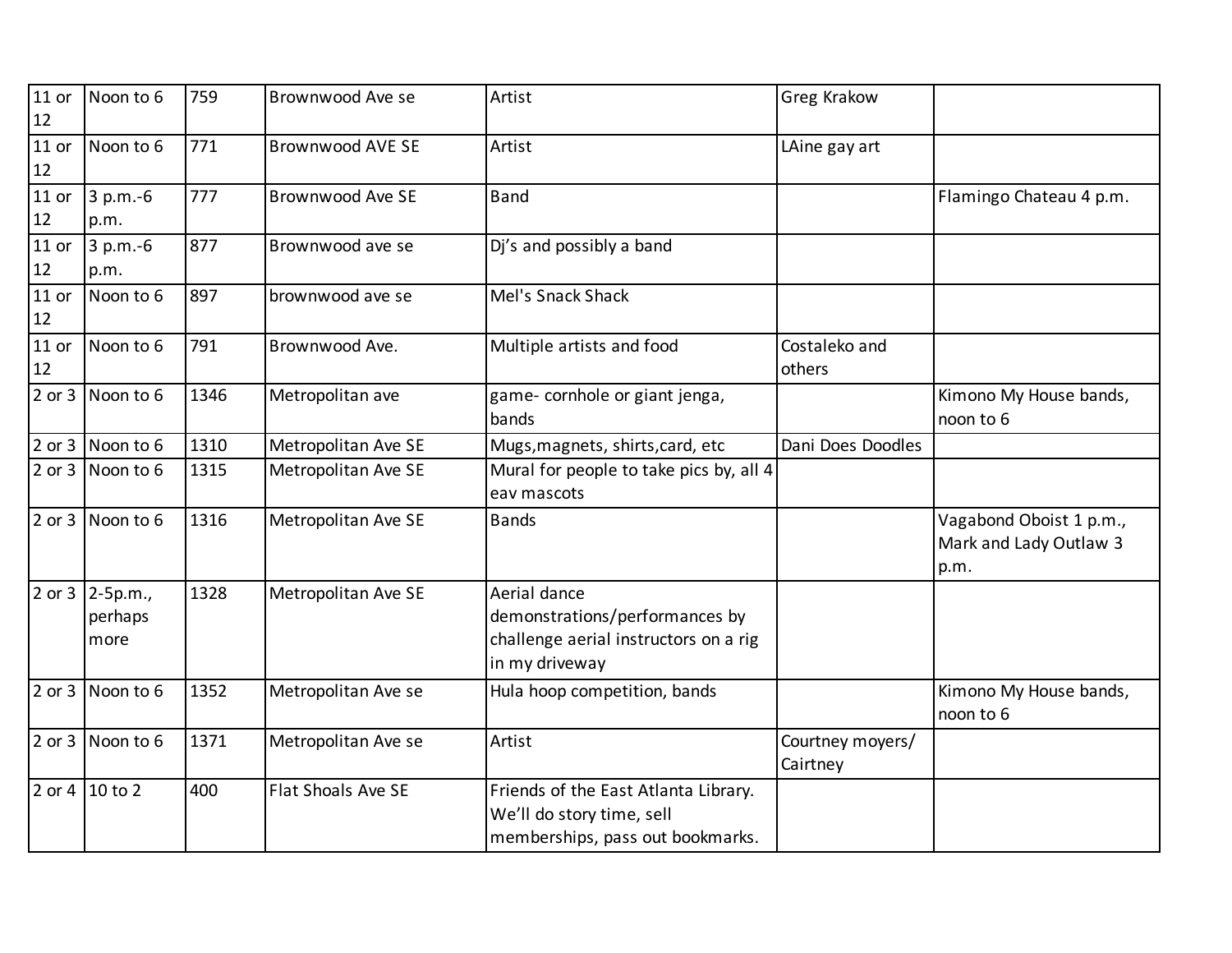| $11$ or<br>12            | Noon to 6                               | 759  | Brownwood Ave se        | Artist                                                                                                    | Greg Krakow                  |                                                           |
|--------------------------|-----------------------------------------|------|-------------------------|-----------------------------------------------------------------------------------------------------------|------------------------------|-----------------------------------------------------------|
| $11$ or<br>12            | Noon to 6                               | 771  | <b>Brownwood AVE SE</b> | Artist                                                                                                    | LAine gay art                |                                                           |
| $11$ or<br>12            | $3 p.m.-6$<br>p.m.                      | 777  | <b>Brownwood Ave SE</b> | <b>Band</b>                                                                                               |                              | Flamingo Chateau 4 p.m.                                   |
| $\overline{1}1$ or<br>12 | $3 p.m.-6$<br>p.m.                      | 877  | Brownwood ave se        | Dj's and possibly a band                                                                                  |                              |                                                           |
| $11$ or<br>12            | Noon to 6                               | 897  | brownwood ave se        | Mel's Snack Shack                                                                                         |                              |                                                           |
| $11$ or<br>$12$          | Noon to 6                               | 791  | Brownwood Ave.          | Multiple artists and food                                                                                 | Costaleko and<br>others      |                                                           |
|                          | $2$ or $3$ Noon to 6                    | 1346 | Metropolitan ave        | game- cornhole or giant jenga,<br>bands                                                                   |                              | Kimono My House bands,<br>noon to 6                       |
| 2 or 3                   | Noon to 6                               | 1310 | Metropolitan Ave SE     | Mugs, magnets, shirts, card, etc                                                                          | Dani Does Doodles            |                                                           |
|                          | 2 or 3 Noon to 6                        | 1315 | Metropolitan Ave SE     | Mural for people to take pics by, all 4<br>eav mascots                                                    |                              |                                                           |
|                          | $2$ or $3$ Noon to 6                    | 1316 | Metropolitan Ave SE     | <b>Bands</b>                                                                                              |                              | Vagabond Oboist 1 p.m.,<br>Mark and Lady Outlaw 3<br>p.m. |
|                          | 2 or 3 $ 2 - 5p.m.,$<br>perhaps<br>more | 1328 | Metropolitan Ave SE     | Aerial dance<br>demonstrations/performances by<br>challenge aerial instructors on a rig<br>in my driveway |                              |                                                           |
| 2 or 3                   | Noon to 6                               | 1352 | Metropolitan Ave se     | Hula hoop competition, bands                                                                              |                              | Kimono My House bands,<br>noon to 6                       |
| 2 or 3                   | Noon to 6                               | 1371 | Metropolitan Ave se     | Artist                                                                                                    | Courtney moyers/<br>Cairtney |                                                           |
|                          | 2 or 4 10 to 2                          | 400  | Flat Shoals Ave SE      | Friends of the East Atlanta Library.<br>We'll do story time, sell<br>memberships, pass out bookmarks.     |                              |                                                           |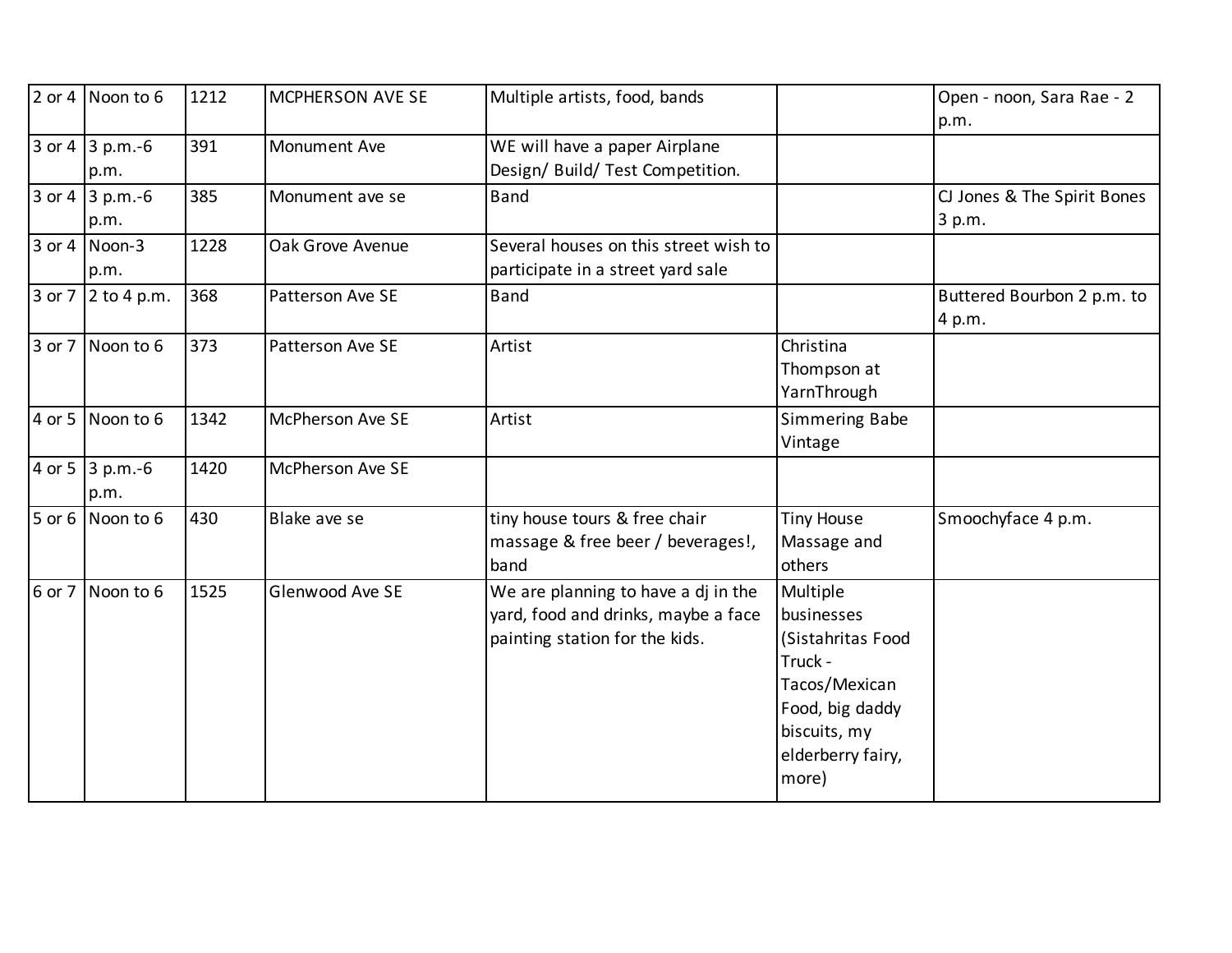|            | $2$ or 4 Noon to 6      | 1212 | MCPHERSON AVE SE        | Multiple artists, food, bands                                                                                |                                                                                                                                          | Open - noon, Sara Rae - 2<br>p.m.     |
|------------|-------------------------|------|-------------------------|--------------------------------------------------------------------------------------------------------------|------------------------------------------------------------------------------------------------------------------------------------------|---------------------------------------|
| 3 or 4     | $3 p.m.-6$<br>p.m.      | 391  | Monument Ave            | WE will have a paper Airplane<br>Design/ Build/ Test Competition.                                            |                                                                                                                                          |                                       |
| 3 or 4     | $3 p.m.-6$<br>p.m.      | 385  | Monument ave se         | <b>Band</b>                                                                                                  |                                                                                                                                          | CJ Jones & The Spirit Bones<br>3 p.m. |
| 3 or 4     | Noon-3<br>p.m.          | 1228 | Oak Grove Avenue        | Several houses on this street wish to<br>participate in a street yard sale                                   |                                                                                                                                          |                                       |
| 3 or 7     | $2$ to 4 p.m.           | 368  | Patterson Ave SE        | <b>Band</b>                                                                                                  |                                                                                                                                          | Buttered Bourbon 2 p.m. to<br>4 p.m.  |
| 3 or 7     | Noon to 6               | 373  | Patterson Ave SE        | Artist                                                                                                       | Christina<br>Thompson at<br>YarnThrough                                                                                                  |                                       |
|            | $4$ or 5 Noon to 6      | 1342 | <b>McPherson Ave SE</b> | Artist                                                                                                       | Simmering Babe<br>Vintage                                                                                                                |                                       |
|            | 4 or 5 3 p.m.-6<br>p.m. | 1420 | <b>McPherson Ave SE</b> |                                                                                                              |                                                                                                                                          |                                       |
| $5$ or $6$ | Noon to 6               | 430  | Blake ave se            | tiny house tours & free chair<br>massage & free beer / beverages!,<br>band                                   | <b>Tiny House</b><br>Massage and<br>others                                                                                               | Smoochyface 4 p.m.                    |
| 6 or 7     | Noon to 6               | 1525 | Glenwood Ave SE         | We are planning to have a dj in the<br>yard, food and drinks, maybe a face<br>painting station for the kids. | Multiple<br>businesses<br>(Sistahritas Food<br>Truck -<br>Tacos/Mexican<br>Food, big daddy<br>biscuits, my<br>elderberry fairy,<br>more) |                                       |